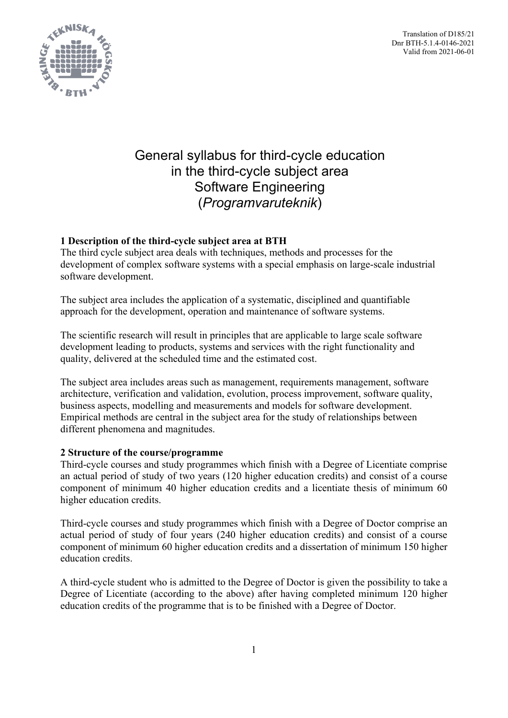Translation of D185/21 Dnr BTH-5.1.4-0146-2021 Valid from 2021-06-01



# General syllabus for third-cycle education in the third-cycle subject area Software Engineering (*Programvaruteknik*)

# **1 Description of the third-cycle subject area at BTH**

The third cycle subject area deals with techniques, methods and processes for the development of complex software systems with a special emphasis on large-scale industrial software development.

The subject area includes the application of a systematic, disciplined and quantifiable approach for the development, operation and maintenance of software systems.

The scientific research will result in principles that are applicable to large scale software development leading to products, systems and services with the right functionality and quality, delivered at the scheduled time and the estimated cost.

The subject area includes areas such as management, requirements management, software architecture, verification and validation, evolution, process improvement, software quality, business aspects, modelling and measurements and models for software development. Empirical methods are central in the subject area for the study of relationships between different phenomena and magnitudes.

# **2 Structure of the course/programme**

Third-cycle courses and study programmes which finish with a Degree of Licentiate comprise an actual period of study of two years (120 higher education credits) and consist of a course component of minimum 40 higher education credits and a licentiate thesis of minimum 60 higher education credits.

Third-cycle courses and study programmes which finish with a Degree of Doctor comprise an actual period of study of four years (240 higher education credits) and consist of a course component of minimum 60 higher education credits and a dissertation of minimum 150 higher education credits.

A third-cycle student who is admitted to the Degree of Doctor is given the possibility to take a Degree of Licentiate (according to the above) after having completed minimum 120 higher education credits of the programme that is to be finished with a Degree of Doctor.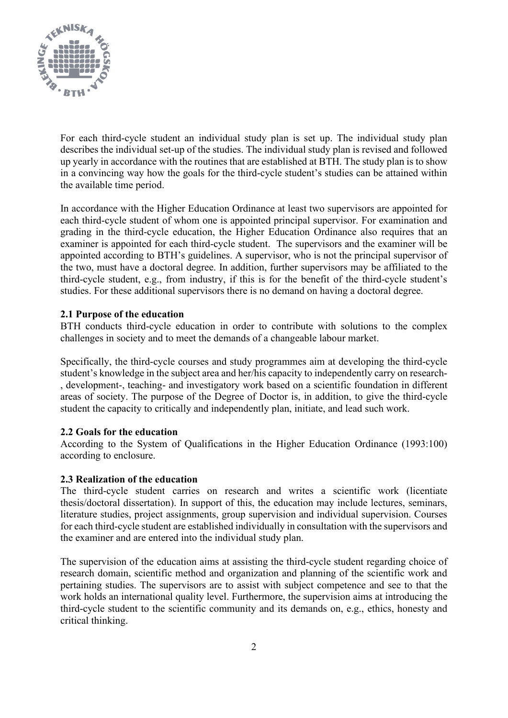

For each third-cycle student an individual study plan is set up. The individual study plan describes the individual set-up of the studies. The individual study plan is revised and followed up yearly in accordance with the routines that are established at BTH. The study plan is to show in a convincing way how the goals for the third-cycle student's studies can be attained within the available time period.

In accordance with the Higher Education Ordinance at least two supervisors are appointed for each third-cycle student of whom one is appointed principal supervisor. For examination and grading in the third-cycle education, the Higher Education Ordinance also requires that an examiner is appointed for each third-cycle student. The supervisors and the examiner will be appointed according to BTH's guidelines. A supervisor, who is not the principal supervisor of the two, must have a doctoral degree. In addition, further supervisors may be affiliated to the third-cycle student, e.g., from industry, if this is for the benefit of the third-cycle student's studies. For these additional supervisors there is no demand on having a doctoral degree.

# **2.1 Purpose of the education**

BTH conducts third-cycle education in order to contribute with solutions to the complex challenges in society and to meet the demands of a changeable labour market.

Specifically, the third-cycle courses and study programmes aim at developing the third-cycle student's knowledge in the subject area and her/his capacity to independently carry on research- , development-, teaching- and investigatory work based on a scientific foundation in different areas of society. The purpose of the Degree of Doctor is, in addition, to give the third-cycle student the capacity to critically and independently plan, initiate, and lead such work.

# **2.2 Goals for the education**

According to the System of Qualifications in the Higher Education Ordinance (1993:100) according to enclosure.

# **2.3 Realization of the education**

The third-cycle student carries on research and writes a scientific work (licentiate thesis/doctoral dissertation). In support of this, the education may include lectures, seminars, literature studies, project assignments, group supervision and individual supervision. Courses for each third-cycle student are established individually in consultation with the supervisors and the examiner and are entered into the individual study plan.

The supervision of the education aims at assisting the third-cycle student regarding choice of research domain, scientific method and organization and planning of the scientific work and pertaining studies. The supervisors are to assist with subject competence and see to that the work holds an international quality level. Furthermore, the supervision aims at introducing the third-cycle student to the scientific community and its demands on, e.g., ethics, honesty and critical thinking.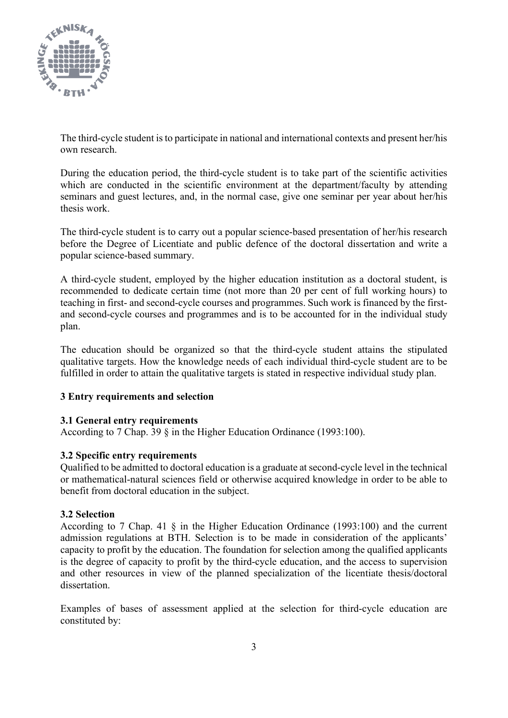

The third-cycle student is to participate in national and international contexts and present her/his own research.

During the education period, the third-cycle student is to take part of the scientific activities which are conducted in the scientific environment at the department/faculty by attending seminars and guest lectures, and, in the normal case, give one seminar per year about her/his thesis work.

The third-cycle student is to carry out a popular science-based presentation of her/his research before the Degree of Licentiate and public defence of the doctoral dissertation and write a popular science-based summary.

A third-cycle student, employed by the higher education institution as a doctoral student, is recommended to dedicate certain time (not more than 20 per cent of full working hours) to teaching in first- and second-cycle courses and programmes. Such work is financed by the firstand second-cycle courses and programmes and is to be accounted for in the individual study plan.

The education should be organized so that the third-cycle student attains the stipulated qualitative targets. How the knowledge needs of each individual third-cycle student are to be fulfilled in order to attain the qualitative targets is stated in respective individual study plan.

# **3 Entry requirements and selection**

# **3.1 General entry requirements**

According to 7 Chap. 39 § in the Higher Education Ordinance (1993:100).

# **3.2 Specific entry requirements**

Qualified to be admitted to doctoral education is a graduate at second-cycle level in the technical or mathematical-natural sciences field or otherwise acquired knowledge in order to be able to benefit from doctoral education in the subject.

# **3.2 Selection**

According to 7 Chap. 41 § in the Higher Education Ordinance (1993:100) and the current admission regulations at BTH. Selection is to be made in consideration of the applicants' capacity to profit by the education. The foundation for selection among the qualified applicants is the degree of capacity to profit by the third-cycle education, and the access to supervision and other resources in view of the planned specialization of the licentiate thesis/doctoral dissertation.

Examples of bases of assessment applied at the selection for third-cycle education are constituted by: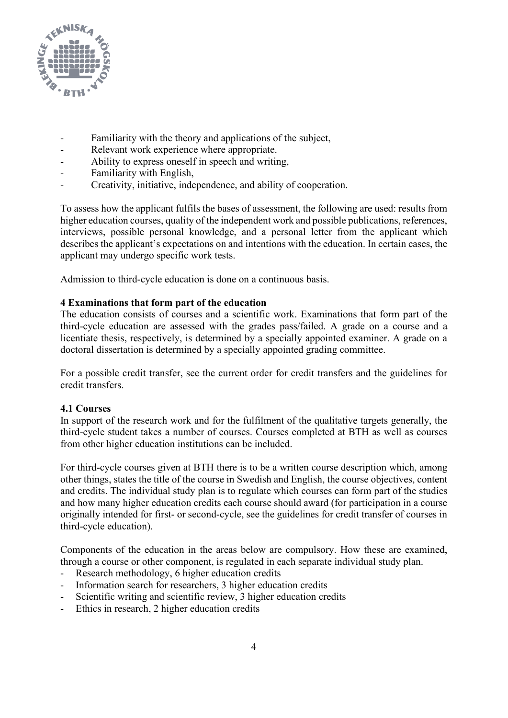

- Familiarity with the theory and applications of the subject,
- Relevant work experience where appropriate.
- Ability to express oneself in speech and writing,
- Familiarity with English,
- Creativity, initiative, independence, and ability of cooperation.

To assess how the applicant fulfils the bases of assessment, the following are used: results from higher education courses, quality of the independent work and possible publications, references, interviews, possible personal knowledge, and a personal letter from the applicant which describes the applicant's expectations on and intentions with the education. In certain cases, the applicant may undergo specific work tests.

Admission to third-cycle education is done on a continuous basis.

# **4 Examinations that form part of the education**

The education consists of courses and a scientific work. Examinations that form part of the third-cycle education are assessed with the grades pass/failed. A grade on a course and a licentiate thesis, respectively, is determined by a specially appointed examiner. A grade on a doctoral dissertation is determined by a specially appointed grading committee.

For a possible credit transfer, see the current order for credit transfers and the guidelines for credit transfers.

# **4.1 Courses**

In support of the research work and for the fulfilment of the qualitative targets generally, the third-cycle student takes a number of courses. Courses completed at BTH as well as courses from other higher education institutions can be included.

For third-cycle courses given at BTH there is to be a written course description which, among other things, states the title of the course in Swedish and English, the course objectives, content and credits. The individual study plan is to regulate which courses can form part of the studies and how many higher education credits each course should award (for participation in a course originally intended for first- or second-cycle, see the guidelines for credit transfer of courses in third-cycle education).

Components of the education in the areas below are compulsory. How these are examined, through a course or other component, is regulated in each separate individual study plan.

- Research methodology, 6 higher education credits
- Information search for researchers, 3 higher education credits
- Scientific writing and scientific review, 3 higher education credits
- Ethics in research, 2 higher education credits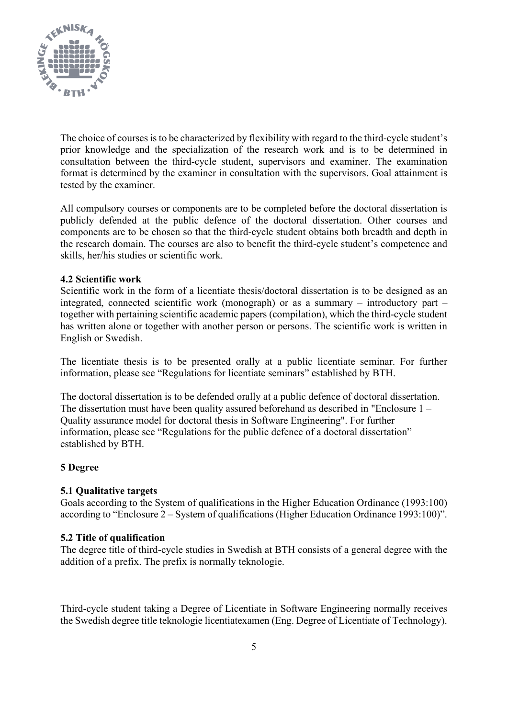

The choice of courses is to be characterized by flexibility with regard to the third-cycle student's prior knowledge and the specialization of the research work and is to be determined in consultation between the third-cycle student, supervisors and examiner. The examination format is determined by the examiner in consultation with the supervisors. Goal attainment is tested by the examiner.

All compulsory courses or components are to be completed before the doctoral dissertation is publicly defended at the public defence of the doctoral dissertation. Other courses and components are to be chosen so that the third-cycle student obtains both breadth and depth in the research domain. The courses are also to benefit the third-cycle student's competence and skills, her/his studies or scientific work.

# **4.2 Scientific work**

Scientific work in the form of a licentiate thesis/doctoral dissertation is to be designed as an integrated, connected scientific work (monograph) or as a summary – introductory part – together with pertaining scientific academic papers (compilation), which the third-cycle student has written alone or together with another person or persons. The scientific work is written in English or Swedish.

The licentiate thesis is to be presented orally at a public licentiate seminar. For further information, please see "Regulations for licentiate seminars" established by BTH.

The doctoral dissertation is to be defended orally at a public defence of doctoral dissertation. The dissertation must have been quality assured beforehand as described in "Enclosure 1 – Quality assurance model for doctoral thesis in Software Engineering". For further information, please see "Regulations for the public defence of a doctoral dissertation" established by BTH.

# **5 Degree**

# **5.1 Qualitative targets**

Goals according to the System of qualifications in the Higher Education Ordinance (1993:100) according to "Enclosure 2 – System of qualifications (Higher Education Ordinance 1993:100)".

# **5.2 Title of qualification**

The degree title of third-cycle studies in Swedish at BTH consists of a general degree with the addition of a prefix. The prefix is normally teknologie.

Third-cycle student taking a Degree of Licentiate in Software Engineering normally receives the Swedish degree title teknologie licentiatexamen (Eng. Degree of Licentiate of Technology).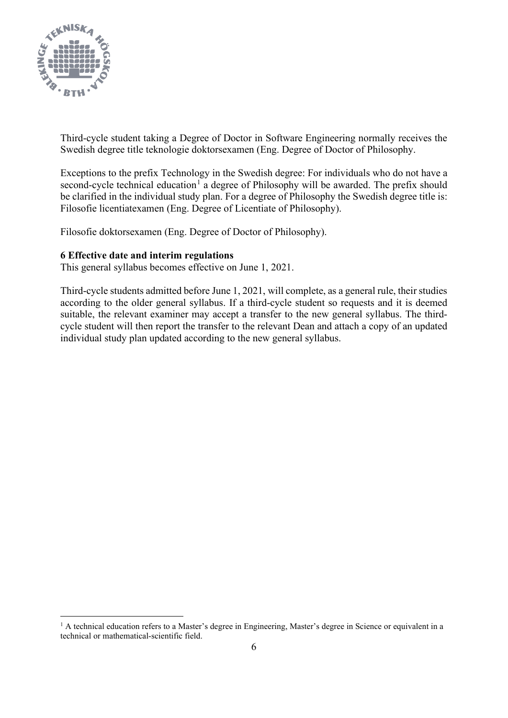

Third-cycle student taking a Degree of Doctor in Software Engineering normally receives the Swedish degree title teknologie doktorsexamen (Eng. Degree of Doctor of Philosophy.

Exceptions to the prefix Technology in the Swedish degree: For individuals who do not have a second-cycle technical education<sup>[1](#page-5-0)</sup> a degree of Philosophy will be awarded. The prefix should be clarified in the individual study plan. For a degree of Philosophy the Swedish degree title is: Filosofie licentiatexamen (Eng. Degree of Licentiate of Philosophy).

Filosofie doktorsexamen (Eng. Degree of Doctor of Philosophy).

# **6 Effective date and interim regulations**

This general syllabus becomes effective on June 1, 2021.

Third-cycle students admitted before June 1, 2021, will complete, as a general rule, their studies according to the older general syllabus. If a third-cycle student so requests and it is deemed suitable, the relevant examiner may accept a transfer to the new general syllabus. The thirdcycle student will then report the transfer to the relevant Dean and attach a copy of an updated individual study plan updated according to the new general syllabus.

<span id="page-5-0"></span><sup>&</sup>lt;sup>1</sup> A technical education refers to a Master's degree in Engineering, Master's degree in Science or equivalent in a technical or mathematical-scientific field.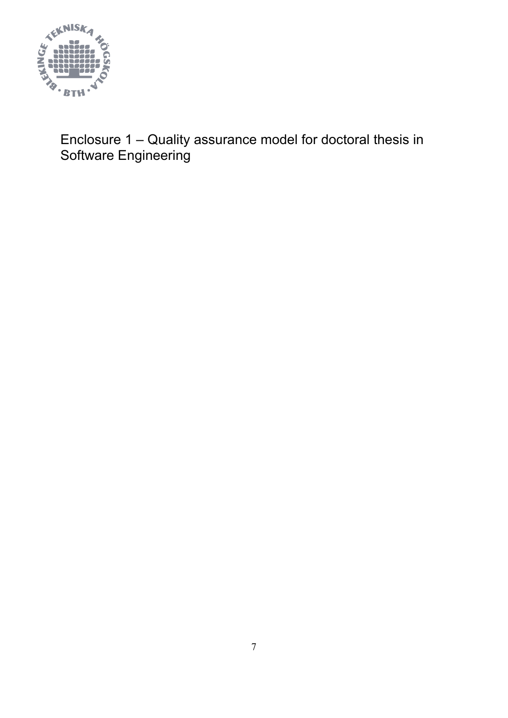

Enclosure 1 – Quality assurance model for doctoral thesis in Software Engineering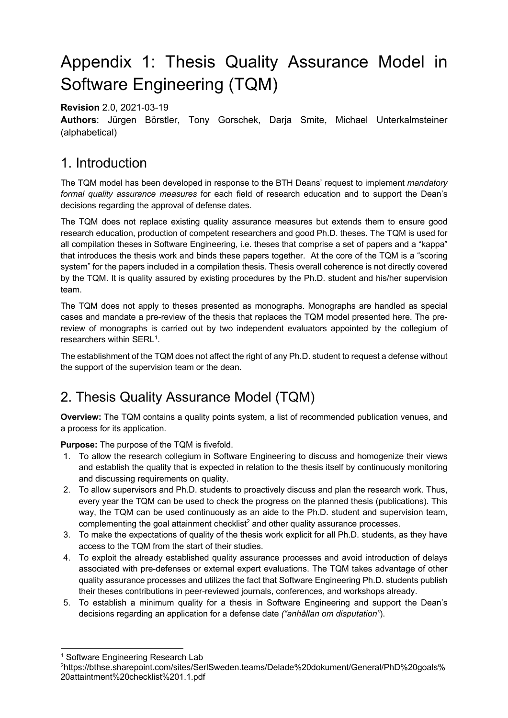# Appendix 1: Thesis Quality Assurance Model in Software Engineering (TQM)

**Revision** 2.0, 2021-03-19

**Authors**: Jürgen Börstler, Tony Gorschek, Darja Smite, Michael Unterkalmsteiner (alphabetical)

# 1. Introduction

The TQM model has been developed in response to the BTH Deans' request to implement *mandatory formal quality assurance measures* for each field of research education and to support the Dean's decisions regarding the approval of defense dates.

The TQM does not replace existing quality assurance measures but extends them to ensure good research education, production of competent researchers and good Ph.D. theses. The TQM is used for all compilation theses in Software Engineering, i.e. theses that comprise a set of papers and a "kappa" that introduces the thesis work and binds these papers together. At the core of the TQM is a "scoring system" for the papers included in a compilation thesis. Thesis overall coherence is not directly covered by the TQM. It is quality assured by existing procedures by the Ph.D. student and his/her supervision team.

The TQM does not apply to theses presented as monographs. Monographs are handled as special cases and mandate a pre-review of the thesis that replaces the TQM model presented here. The prereview of monographs is carried out by two independent evaluators appointed by the collegium of researchers within  $\text{SERL}^1$ .

The establishment of the TQM does not affect the right of any Ph.D. student to request a defense without the support of the supervision team or the dean.

# 2. Thesis Quality Assurance Model (TQM)

**Overview:** The TQM contains a quality points system, a list of recommended publication venues, and a process for its application.

**Purpose:** The purpose of the TQM is fivefold.

- 1. To allow the research collegium in Software Engineering to discuss and homogenize their views and establish the quality that is expected in relation to the thesis itself by continuously monitoring and discussing requirements on quality.
- 2. To allow supervisors and Ph.D. students to proactively discuss and plan the research work. Thus, every year the TQM can be used to check the progress on the planned thesis (publications). This way, the TQM can be used continuously as an aide to the Ph.D. student and supervision team, complementing the goal attainment checklist<sup>2</sup> and other quality assurance processes.
- 3. To make the expectations of quality of the thesis work explicit for all Ph.D. students, as they have access to the TQM from the start of their studies.
- 4. To exploit the already established quality assurance processes and avoid introduction of delays associated with pre-defenses or external expert evaluations. The TQM takes advantage of other quality assurance processes and utilizes the fact that Software Engineering Ph.D. students publish their theses contributions in peer-reviewed journals, conferences, and workshops already.
- 5. To establish a minimum quality for a thesis in Software Engineering and support the Dean's decisions regarding an application for a defense date *("anhållan om disputation"*).

<sup>&</sup>lt;sup>1</sup> Software Engineering Research Lab

<sup>2</sup>https://bthse.sharepoint.com/sites/SerlSweden.teams/Delade%20dokument/General/PhD%20goals% 20attaintment%20checklist%201.1.pdf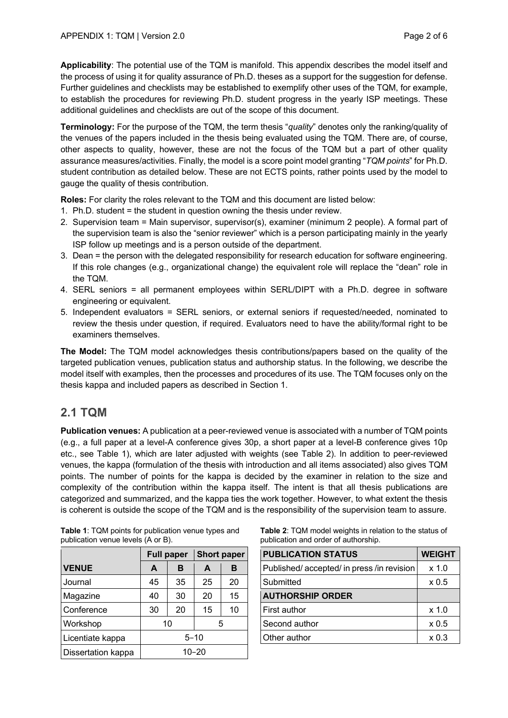**Applicability**: The potential use of the TQM is manifold. This appendix describes the model itself and the process of using it for quality assurance of Ph.D. theses as a support for the suggestion for defense. Further guidelines and checklists may be established to exemplify other uses of the TQM, for example, to establish the procedures for reviewing Ph.D. student progress in the yearly ISP meetings. These additional guidelines and checklists are out of the scope of this document.

**Terminology:** For the purpose of the TQM, the term thesis "*quality*" denotes only the ranking/quality of the venues of the papers included in the thesis being evaluated using the TQM. There are, of course, other aspects to quality, however, these are not the focus of the TQM but a part of other quality assurance measures/activities. Finally, the model is a score point model granting "*TQM points*" for Ph.D. student contribution as detailed below. These are not ECTS points, rather points used by the model to gauge the quality of thesis contribution.

**Roles:** For clarity the roles relevant to the TQM and this document are listed below:

- 1. Ph.D. student = the student in question owning the thesis under review.
- 2. Supervision team = Main supervisor, supervisor(s), examiner (minimum 2 people). A formal part of the supervision team is also the "senior reviewer" which is a person participating mainly in the yearly ISP follow up meetings and is a person outside of the department.
- 3. Dean = the person with the delegated responsibility for research education for software engineering. If this role changes (e.g., organizational change) the equivalent role will replace the "dean" role in the TQM.
- 4. SERL seniors = all permanent employees within SERL/DIPT with a Ph.D. degree in software engineering or equivalent.
- 5. Independent evaluators = SERL seniors, or external seniors if requested/needed, nominated to review the thesis under question, if required. Evaluators need to have the ability/formal right to be examiners themselves.

**The Model:** The TQM model acknowledges thesis contributions/papers based on the quality of the targeted publication venues, publication status and authorship status. In the following, we describe the model itself with examples, then the processes and procedures of its use. The TQM focuses only on the thesis kappa and included papers as described in Section 1.

# **2.1 TQM**

**Publication venues:** A publication at a peer-reviewed venue is associated with a number of TQM points (e.g., a full paper at a level-A conference gives 30p, a short paper at a level-B conference gives 10p etc., see Table 1), which are later adjusted with weights (see Table 2). In addition to peer-reviewed venues, the kappa (formulation of the thesis with introduction and all items associated) also gives TQM points. The number of points for the kappa is decided by the examiner in relation to the size and complexity of the contribution within the kappa itself. The intent is that all thesis publications are categorized and summarized, and the kappa ties the work together. However, to what extent the thesis is coherent is outside the scope of the TQM and is the responsibility of the supervision team to assure.

|                    | <b>Full paper</b> |    | <b>Short paper</b> |    |
|--------------------|-------------------|----|--------------------|----|
| <b>VENUE</b>       | A                 | в  | A                  | в  |
| Journal            | 45                | 35 | 25                 | 20 |
| Magazine           | 40                | 30 | 20                 | 15 |
| Conference         | 30                | 20 | 15                 | 10 |
| Workshop           | 10<br>5           |    |                    |    |
| Licentiate kappa   | $5 - 10$          |    |                    |    |
| Dissertation kappa | $10 - 20$         |    |                    |    |

| <b>Table 1: TQM points for publication venue types and</b> |  |
|------------------------------------------------------------|--|
| publication venue levels (A or B).                         |  |

**Table 2**: TQM model weights in relation to the status of publication and order of authorship.

| <b>PUBLICATION STATUS</b>               | <b>WEIGHT</b>    |
|-----------------------------------------|------------------|
| Published/accepted/in press/in revision | $x$ 1.0          |
| Submitted                               | $\times 0.5$     |
| <b>AUTHORSHIP ORDER</b>                 |                  |
| First author                            | $x$ 1.0          |
| Second author                           | x <sub>0.5</sub> |
| Other author                            | x <sub>0.3</sub> |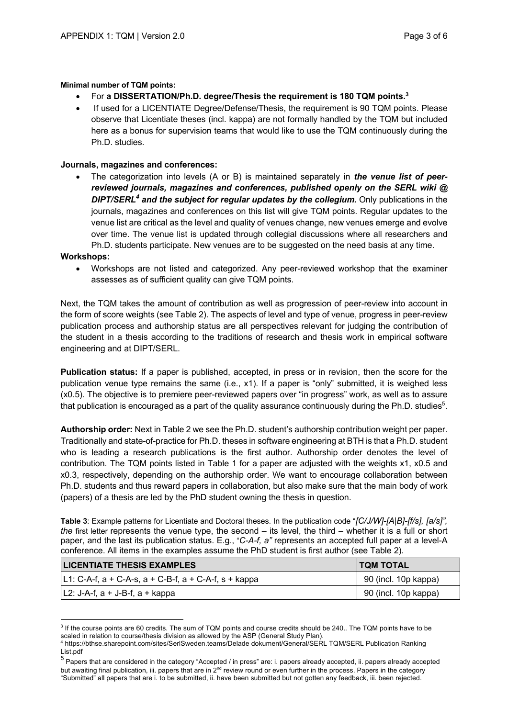#### **Minimal number of TQM points:**

- For **a DISSERTATION/Ph.D. degree/Thesis the requirement is 180 TQM points.3**
- If used for a LICENTIATE Degree/Defense/Thesis, the requirement is 90 TQM points. Please observe that Licentiate theses (incl. kappa) are not formally handled by the TQM but included here as a bonus for supervision teams that would like to use the TQM continuously during the Ph.D. studies.

#### **Journals, magazines and conferences:**

• The categorization into levels (A or B) is maintained separately in *the venue list of peerreviewed journals, magazines and conferences, published openly on the SERL wiki @ DIPT/SERL<sup>4</sup> and the subject for regular updates by the collegium.* Only publications in the journals, magazines and conferences on this list will give TQM points. Regular updates to the venue list are critical as the level and quality of venues change, new venues emerge and evolve over time. The venue list is updated through collegial discussions where all researchers and Ph.D. students participate. New venues are to be suggested on the need basis at any time.

#### **Workshops:**

• Workshops are not listed and categorized. Any peer-reviewed workshop that the examiner assesses as of sufficient quality can give TQM points.

Next, the TQM takes the amount of contribution as well as progression of peer-review into account in the form of score weights (see Table 2). The aspects of level and type of venue, progress in peer-review publication process and authorship status are all perspectives relevant for judging the contribution of the student in a thesis according to the traditions of research and thesis work in empirical software engineering and at DIPT/SERL.

**Publication status:** If a paper is published, accepted, in press or in revision, then the score for the publication venue type remains the same (i.e., x1). If a paper is "only" submitted, it is weighed less (x0.5). The objective is to premiere peer-reviewed papers over "in progress" work, as well as to assure that publication is encouraged as a part of the quality assurance continuously during the Ph.D. studies<sup>5</sup>.

**Authorship order:** Next in Table 2 we see the Ph.D. student's authorship contribution weight per paper. Traditionally and state-of-practice for Ph.D. theses in software engineering at BTH is that a Ph.D. student who is leading a research publications is the first author. Authorship order denotes the level of contribution. The TQM points listed in Table 1 for a paper are adjusted with the weights x1, x0.5 and x0.3, respectively, depending on the authorship order. We want to encourage collaboration between Ph.D. students and thus reward papers in collaboration, but also make sure that the main body of work (papers) of a thesis are led by the PhD student owning the thesis in question.

**Table 3**: Example patterns for Licentiate and Doctoral theses. In the publication code "*[C/J/W]-[A|B]-[f/s], [a/s]", the* first letter represents the venue type, the second – its level, the third – whether it is a full or short paper, and the last its publication status. E.g., "*C-A-f, a"* represents an accepted full paper at a level-A conference. All items in the examples assume the PhD student is first author (see Table 2).

| <b>LICENTIATE THESIS EXAMPLES</b>                         | <b>ITOM TOTAL</b>    |  |
|-----------------------------------------------------------|----------------------|--|
| $ L1: C-A-f$ , a + C-A-s, a + C-B-f, a + C-A-f, s + kappa | 90 (incl. 10p kappa) |  |
| $ L2: J-A-f, a + J-B-f, a + kappa$                        | 90 (incl. 10p kappa) |  |

<sup>&</sup>lt;sup>3</sup> If the course points are 60 credits. The sum of TQM points and course credits should be 240.. The TQM points have to be scaled in relation to course/thesis division as allowed by the ASP (General Study Plan).<br><sup>4</sup> https://bthse.sharepoint.com/sites/SerlSweden.teams/Delade dokument/General/SERL TQM/SERL Publication Ranking

List.pdf

<sup>5</sup> Papers that are considered in the category "Accepted / in press" are: i. papers already accepted, ii. papers already accepted but awaiting final publication, iii. papers that are in 2<sup>nd</sup> review round or even further in the process. Papers in the category "Submitted" all papers that are i. to be submitted, ii. have been submitted but not gotten any feedback, iii. been rejected.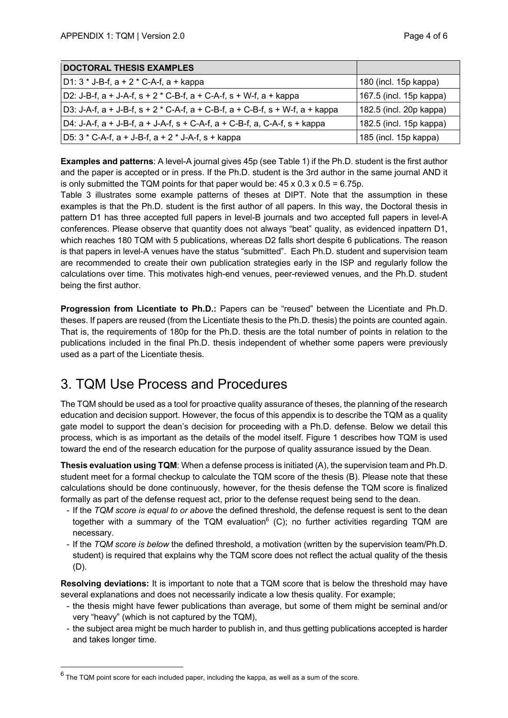| <b>DOCTORAL THESIS EXAMPLES</b>                                                                |                         |
|------------------------------------------------------------------------------------------------|-------------------------|
| D1: 3 * J-B-f, a + 2 * C-A-f, a + kappa                                                        | 180 (incl. 15p kappa)   |
| D2: J-B-f, $a + J-A-f$ , $s + 2 * C-B-f$ , $a + C-A-f$ , $s + W-f$ , $a + kappa$               | 167.5 (incl. 15p kappa) |
| D3: J-A-f, $a + J-B$ -f, $s + 2 * C$ -A-f, $a + C-B$ -f, $a + C-B$ -f, $s + W$ -f, $a + kappa$ | 182.5 (incl. 20p kappa) |
| D4: J-A-f, $a + J-B$ -f, $a + J-A$ -f, $s + C-A$ -f, $a + C-B$ -f, $a, C-A$ -f, $s + kappa$    | 182.5 (incl. 15p kappa) |
| D5: $3 * C-A-f$ , $a + J-B-f$ , $a + 2 * J-A-f$ , $s + kappa$                                  | 185 (incl. 15p kappa)   |

**Examples and patterns**: A level-A journal gives 45p (see Table 1) if the Ph.D. student is the first author and the paper is accepted or in press. If the Ph.D. student is the 3rd author in the same journal AND it is only submitted the TQM points for that paper would be:  $45 \times 0.3 \times 0.5 = 6.75$  p.

Table 3 illustrates some example patterns of theses at DIPT. Note that the assumption in these examples is that the Ph.D. student is the first author of all papers. In this way, the Doctoral thesis in pattern D1 has three accepted full papers in level-B journals and two accepted full papers in level-A conferences. Please observe that quantity does not always "beat" quality, as evidenced inpattern D1, which reaches 180 TQM with 5 publications, whereas D2 falls short despite 6 publications. The reason is that papers in level-A venues have the status "submitted". Each Ph.D. student and supervision team are recommended to create their own publication strategies early in the ISP and regularly follow the calculations over time. This motivates high-end venues, peer-reviewed venues, and the Ph.D. student being the first author.

**Progression from Licentiate to Ph.D.:** Papers can be "reused" between the Licentiate and Ph.D. theses. If papers are reused (from the Licentiate thesis to the Ph.D. thesis) the points are counted again. That is, the requirements of 180p for the Ph.D. thesis are the total number of points in relation to the publications included in the final Ph.D. thesis independent of whether some papers were previously used as a part of the Licentiate thesis.

# 3. TQM Use Process and Procedures

The TQM should be used as a tool for proactive quality assurance of theses, the planning of the research education and decision support. However, the focus of this appendix is to describe the TQM as a quality gate model to support the dean's decision for proceeding with a Ph.D. defense. Below we detail this process, which is as important as the details of the model itself. Figure 1 describes how TQM is used toward the end of the research education for the purpose of quality assurance issued by the Dean.

**Thesis evaluation using TQM**: When a defense process is initiated (A), the supervision team and Ph.D. student meet for a formal checkup to calculate the TQM score of the thesis (B). Please note that these calculations should be done continuously, however, for the thesis defense the TQM score is finalized formally as part of the defense request act, prior to the defense request being send to the dean.

- If the *TQM score is equal to or above* the defined threshold, the defense request is sent to the dean together with a summary of the TQM evaluation<sup>6</sup> (C); no further activities regarding TQM are necessary.
- If the *TQM score is below* the defined threshold, a motivation (written by the supervision team/Ph.D. student) is required that explains why the TQM score does not reflect the actual quality of the thesis (D).

**Resolving deviations:** It is important to note that a TQM score that is below the threshold may have several explanations and does not necessarily indicate a low thesis quality. For example;

- the thesis might have fewer publications than average, but some of them might be seminal and/or very "heavy" (which is not captured by the TQM),
- the subject area might be much harder to publish in, and thus getting publications accepted is harder and takes longer time.

 $6$  The TQM point score for each included paper, including the kappa, as well as a sum of the score.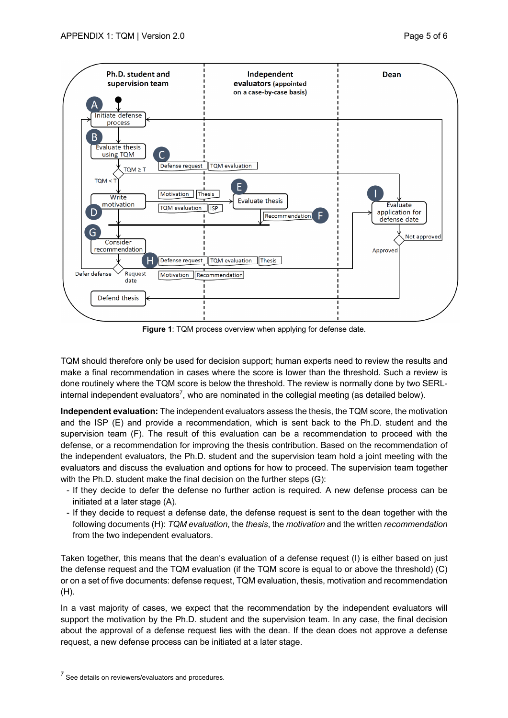

**Figure 1**: TQM process overview when applying for defense date.

TQM should therefore only be used for decision support; human experts need to review the results and make a final recommendation in cases where the score is lower than the threshold. Such a review is done routinely where the TQM score is below the threshold. The review is normally done by two SERLinternal independent evaluators<sup>7</sup>, who are nominated in the collegial meeting (as detailed below).

**Independent evaluation:** The independent evaluators assess the thesis, the TQM score, the motivation and the ISP (E) and provide a recommendation, which is sent back to the Ph.D. student and the supervision team (F). The result of this evaluation can be a recommendation to proceed with the defense, or a recommendation for improving the thesis contribution. Based on the recommendation of the independent evaluators, the Ph.D. student and the supervision team hold a joint meeting with the evaluators and discuss the evaluation and options for how to proceed. The supervision team together with the Ph.D. student make the final decision on the further steps (G):

- If they decide to defer the defense no further action is required. A new defense process can be initiated at a later stage (A).
- If they decide to request a defense date, the defense request is sent to the dean together with the following documents (H): *TQM evaluation*, the *thesis*, the *motivation* and the written *recommendation* from the two independent evaluators.

Taken together, this means that the dean's evaluation of a defense request (I) is either based on just the defense request and the TQM evaluation (if the TQM score is equal to or above the threshold) (C) or on a set of five documents: defense request, TQM evaluation, thesis, motivation and recommendation (H).

In a vast majority of cases, we expect that the recommendation by the independent evaluators will support the motivation by the Ph.D. student and the supervision team. In any case, the final decision about the approval of a defense request lies with the dean. If the dean does not approve a defense request, a new defense process can be initiated at a later stage.

<sup>7</sup> See details on reviewers/evaluators and procedures.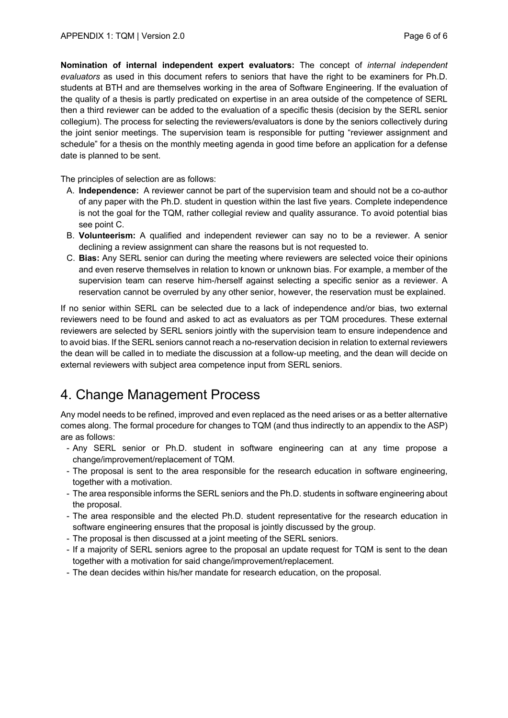**Nomination of internal independent expert evaluators:** The concept of *internal independent evaluators* as used in this document refers to seniors that have the right to be examiners for Ph.D. students at BTH and are themselves working in the area of Software Engineering. If the evaluation of the quality of a thesis is partly predicated on expertise in an area outside of the competence of SERL then a third reviewer can be added to the evaluation of a specific thesis (decision by the SERL senior collegium). The process for selecting the reviewers/evaluators is done by the seniors collectively during the joint senior meetings. The supervision team is responsible for putting "reviewer assignment and schedule" for a thesis on the monthly meeting agenda in good time before an application for a defense date is planned to be sent.

The principles of selection are as follows:

- A. **Independence:** A reviewer cannot be part of the supervision team and should not be a co-author of any paper with the Ph.D. student in question within the last five years. Complete independence is not the goal for the TQM, rather collegial review and quality assurance. To avoid potential bias see point C.
- B. **Volunteerism:** A qualified and independent reviewer can say no to be a reviewer. A senior declining a review assignment can share the reasons but is not requested to.
- C. **Bias:** Any SERL senior can during the meeting where reviewers are selected voice their opinions and even reserve themselves in relation to known or unknown bias. For example, a member of the supervision team can reserve him-/herself against selecting a specific senior as a reviewer. A reservation cannot be overruled by any other senior, however, the reservation must be explained.

If no senior within SERL can be selected due to a lack of independence and/or bias, two external reviewers need to be found and asked to act as evaluators as per TQM procedures. These external reviewers are selected by SERL seniors jointly with the supervision team to ensure independence and to avoid bias. If the SERL seniors cannot reach a no-reservation decision in relation to external reviewers the dean will be called in to mediate the discussion at a follow-up meeting, and the dean will decide on external reviewers with subject area competence input from SERL seniors.

# 4. Change Management Process

Any model needs to be refined, improved and even replaced as the need arises or as a better alternative comes along. The formal procedure for changes to TQM (and thus indirectly to an appendix to the ASP) are as follows:

- Any SERL senior or Ph.D. student in software engineering can at any time propose a change/improvement/replacement of TQM.
- The proposal is sent to the area responsible for the research education in software engineering, together with a motivation.
- The area responsible informs the SERL seniors and the Ph.D. students in software engineering about the proposal.
- The area responsible and the elected Ph.D. student representative for the research education in software engineering ensures that the proposal is jointly discussed by the group.
- The proposal is then discussed at a joint meeting of the SERL seniors.
- If a majority of SERL seniors agree to the proposal an update request for TQM is sent to the dean together with a motivation for said change/improvement/replacement.
- The dean decides within his/her mandate for research education, on the proposal.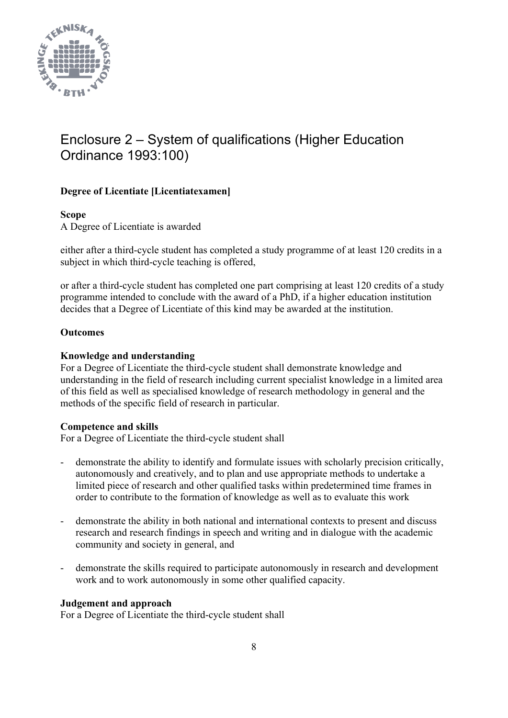

# Enclosure 2 – System of qualifications (Higher Education Ordinance 1993:100)

# **Degree of Licentiate [Licentiatexamen]**

# **Scope**

A Degree of Licentiate is awarded

either after a third-cycle student has completed a study programme of at least 120 credits in a subject in which third-cycle teaching is offered,

or after a third-cycle student has completed one part comprising at least 120 credits of a study programme intended to conclude with the award of a PhD, if a higher education institution decides that a Degree of Licentiate of this kind may be awarded at the institution.

# **Outcomes**

# **Knowledge and understanding**

For a Degree of Licentiate the third-cycle student shall demonstrate knowledge and understanding in the field of research including current specialist knowledge in a limited area of this field as well as specialised knowledge of research methodology in general and the methods of the specific field of research in particular.

# **Competence and skills**

For a Degree of Licentiate the third-cycle student shall

- demonstrate the ability to identify and formulate issues with scholarly precision critically, autonomously and creatively, and to plan and use appropriate methods to undertake a limited piece of research and other qualified tasks within predetermined time frames in order to contribute to the formation of knowledge as well as to evaluate this work
- demonstrate the ability in both national and international contexts to present and discuss research and research findings in speech and writing and in dialogue with the academic community and society in general, and
- demonstrate the skills required to participate autonomously in research and development work and to work autonomously in some other qualified capacity.

# **Judgement and approach**

For a Degree of Licentiate the third-cycle student shall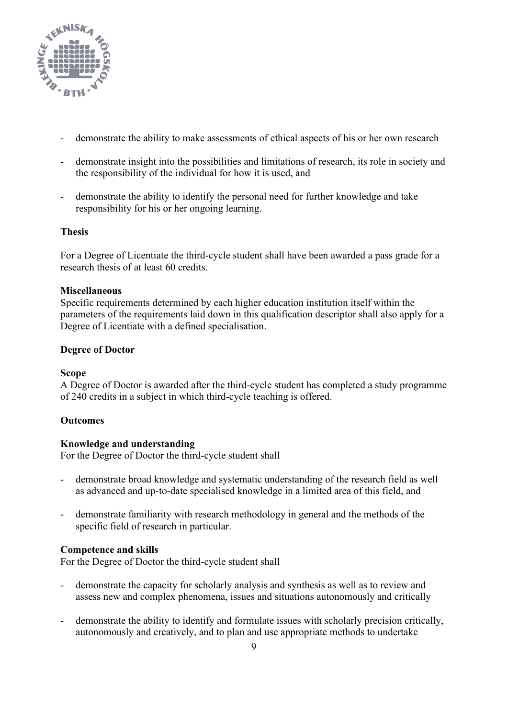

- demonstrate the ability to make assessments of ethical aspects of his or her own research
- demonstrate insight into the possibilities and limitations of research, its role in society and the responsibility of the individual for how it is used, and
- demonstrate the ability to identify the personal need for further knowledge and take responsibility for his or her ongoing learning.

# **Thesis**

For a Degree of Licentiate the third-cycle student shall have been awarded a pass grade for a research thesis of at least 60 credits.

# **Miscellaneous**

Specific requirements determined by each higher education institution itself within the parameters of the requirements laid down in this qualification descriptor shall also apply for a Degree of Licentiate with a defined specialisation.

# **Degree of Doctor**

# **Scope**

A Degree of Doctor is awarded after the third-cycle student has completed a study programme of 240 credits in a subject in which third-cycle teaching is offered.

# **Outcomes**

# **Knowledge and understanding**

For the Degree of Doctor the third-cycle student shall

- demonstrate broad knowledge and systematic understanding of the research field as well as advanced and up-to-date specialised knowledge in a limited area of this field, and
- demonstrate familiarity with research methodology in general and the methods of the specific field of research in particular.

# **Competence and skills**

For the Degree of Doctor the third-cycle student shall

- demonstrate the capacity for scholarly analysis and synthesis as well as to review and assess new and complex phenomena, issues and situations autonomously and critically
- demonstrate the ability to identify and formulate issues with scholarly precision critically, autonomously and creatively, and to plan and use appropriate methods to undertake